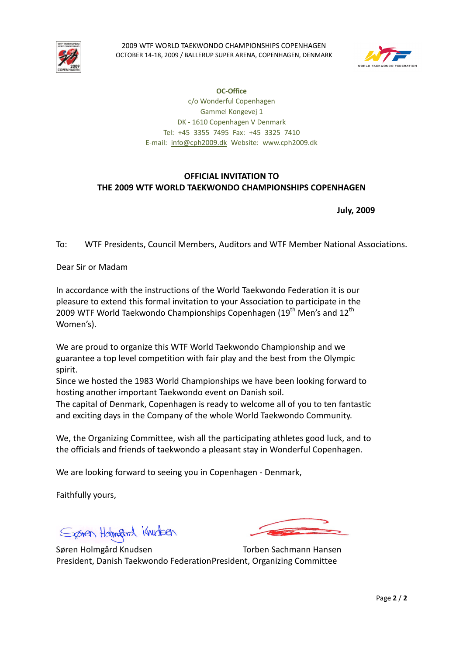



**OC-Office**  c/o Wonderful Copenhagen Gammel Kongevej 1 DK - 1610 Copenhagen V Denmark Tel: +45 3355 7495 Fax: +45 3325 7410 E-mail: info@cph2009.dk Website: www.cph2009.dk

# **OFFICIAL INVITATION TO THE 2009 WTF WORLD TAEKWONDO CHAMPIONSHIPS COPENHAGEN**

 **July, 2009** 

To: WTF Presidents, Council Members, Auditors and WTF Member National Associations.

Dear Sir or Madam

In accordance with the instructions of the World Taekwondo Federation it is our pleasure to extend this formal invitation to your Association to participate in the 2009 WTF World Taekwondo Championships Copenhagen (19<sup>th</sup> Men's and 12<sup>th</sup> Women's).

We are proud to organize this WTF World Taekwondo Championship and we guarantee a top level competition with fair play and the best from the Olympic spirit.

Since we hosted the 1983 World Championships we have been looking forward to hosting another important Taekwondo event on Danish soil.

The capital of Denmark, Copenhagen is ready to welcome all of you to ten fantastic and exciting days in the Company of the whole World Taekwondo Community.

We, the Organizing Committee, wish all the participating athletes good luck, and to the officials and friends of taekwondo a pleasant stay in Wonderful Copenhagen.

We are looking forward to seeing you in Copenhagen - Denmark,

Faithfully yours,

Spren Holmand Knudsen

Søren Holmgård Knudsen Torben Sachmann Hansen President, Danish Taekwondo Federation President, Organizing Committee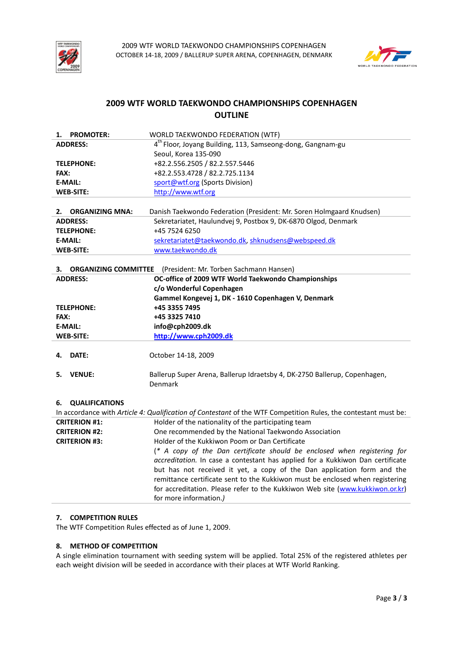



# **2009 WTF WORLD TAEKWONDO CHAMPIONSHIPS COPENHAGEN OUTLINE**

| <b>PROMOTER:</b><br>1.            | WORLD TAEKWONDO FEDERATION (WTF)                                                                                |
|-----------------------------------|-----------------------------------------------------------------------------------------------------------------|
| <b>ADDRESS:</b>                   | 4 <sup>th</sup> Floor, Joyang Building, 113, Samseong-dong, Gangnam-gu                                          |
|                                   | Seoul, Korea 135-090                                                                                            |
| <b>TELEPHONE:</b>                 | +82.2.556.2505 / 82.2.557.5446                                                                                  |
| FAX:                              | +82.2.553.4728 / 82.2.725.1134                                                                                  |
| <b>E-MAIL:</b>                    | sport@wtf.org (Sports Division)                                                                                 |
| <b>WEB-SITE:</b>                  | http://www.wtf.org                                                                                              |
|                                   |                                                                                                                 |
| <b>ORGANIZING MNA:</b><br>2.      | Danish Taekwondo Federation (President: Mr. Soren Holmgaard Knudsen)                                            |
| <b>ADDRESS:</b>                   | Sekretariatet, Haulundvej 9, Postbox 9, DK-6870 Olgod, Denmark                                                  |
| <b>TELEPHONE:</b>                 | +45 7524 6250                                                                                                   |
| <b>E-MAIL:</b>                    | sekretariatet@taekwondo.dk, shknudsens@webspeed.dk                                                              |
| <b>WEB-SITE:</b>                  | www.taekwondo.dk                                                                                                |
|                                   |                                                                                                                 |
| <b>ORGANIZING COMMITTEE</b><br>З. | (President: Mr. Torben Sachmann Hansen)                                                                         |
| <b>ADDRESS:</b>                   | OC-office of 2009 WTF World Taekwondo Championships                                                             |
|                                   | c/o Wonderful Copenhagen                                                                                        |
|                                   | Gammel Kongevej 1, DK - 1610 Copenhagen V, Denmark                                                              |
| <b>TELEPHONE:</b>                 | +45 3355 7495                                                                                                   |
| FAX:                              | +45 3325 7410                                                                                                   |
| <b>E-MAIL:</b>                    | info@cph2009.dk                                                                                                 |
| <b>WEB-SITE:</b>                  | http://www.cph2009.dk                                                                                           |
|                                   |                                                                                                                 |
| DATE:<br>4.                       | October 14-18, 2009                                                                                             |
|                                   |                                                                                                                 |
| <b>VENUE:</b><br>5.               | Ballerup Super Arena, Ballerup Idraetsby 4, DK-2750 Ballerup, Copenhagen,                                       |
|                                   | Denmark                                                                                                         |
|                                   |                                                                                                                 |
| <b>QUALIFICATIONS</b><br>6.       |                                                                                                                 |
|                                   | In accordance with Article 4: Qualification of Contestant of the WTF Competition Rules, the contestant must be: |
| <b>CRITERION #1:</b>              | Holder of the nationality of the participating team                                                             |
| <b>CRITERION #2:</b>              | One recommended by the National Taekwondo Association                                                           |
| <b>CRITERION #3:</b>              | Holder of the Kukkiwon Poom or Dan Certificate                                                                  |
|                                   | (* A copy of the Dan certificate should be enclosed when registering for                                        |
|                                   | accreditation. In case a contestant has applied for a Kukkiwon Dan certificate                                  |
|                                   | but has not received it yet, a copy of the Dan application form and the                                         |
|                                   | remittance certificate sent to the Kukkiwon must be enclosed when registering                                   |
|                                   | for accreditation. Please refer to the Kukkiwon Web site (www.kukkiwon.or.kr)<br>for more information.)         |
|                                   |                                                                                                                 |

# **7. COMPETITION RULES**

The WTF Competition Rules effected as of June 1, 2009.

# **8. METHOD OF COMPETITION**

A single elimination tournament with seeding system will be applied. Total 25% of the registered athletes per each weight division will be seeded in accordance with their places at WTF World Ranking.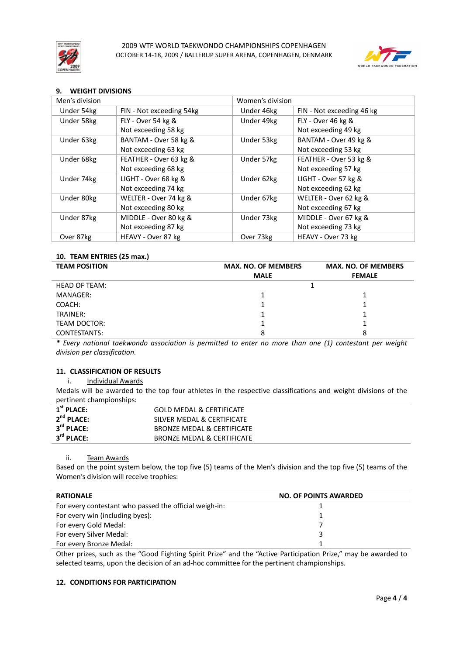



# **9. WEIGHT DIVISIONS**

| Men's division |                          | Women's division |                           |
|----------------|--------------------------|------------------|---------------------------|
| Under 54kg     | FIN - Not exceeding 54kg | Under 46kg       | FIN - Not exceeding 46 kg |
| Under 58kg     | FLY - Over 54 kg &       | Under 49kg       | FLY - Over 46 kg &        |
|                | Not exceeding 58 kg      |                  | Not exceeding 49 kg       |
| Under 63kg     | BANTAM - Over 58 kg &    | Under 53kg       | BANTAM - Over 49 kg &     |
|                | Not exceeding 63 kg      |                  | Not exceeding 53 kg       |
| Under 68kg     | FEATHER - Over 63 kg &   | Under 57kg       | FEATHER - Over 53 kg &    |
|                | Not exceeding 68 kg      |                  | Not exceeding 57 kg       |
| Under 74kg     | LIGHT - Over 68 kg &     | Under 62kg       | LIGHT - Over 57 kg &      |
|                | Not exceeding 74 kg      |                  | Not exceeding 62 kg       |
| Under 80kg     | WELTER - Over 74 kg &    | Under 67kg       | WELTER - Over 62 kg &     |
|                | Not exceeding 80 kg      |                  | Not exceeding 67 kg       |
| Under 87kg     | MIDDLE - Over 80 kg &    | Under 73kg       | MIDDLE - Over 67 kg &     |
|                | Not exceeding 87 kg      |                  | Not exceeding 73 kg       |
| Over 87kg      | HEAVY - Over 87 kg       | Over 73kg        | HEAVY - Over 73 kg        |

# **10. TEAM ENTRIES (25 max.)**

| <b>TEAM POSITION</b> | <b>MAX. NO. OF MEMBERS</b> | <b>MAX. NO. OF MEMBERS</b> |
|----------------------|----------------------------|----------------------------|
|                      | <b>MALE</b>                | <b>FEMALE</b>              |
| <b>HEAD OF TEAM:</b> |                            |                            |
| MANAGER:             |                            |                            |
| COACH:               |                            |                            |
| TRAINER:             |                            |                            |
| TEAM DOCTOR:         |                            |                            |
| CONTESTANTS:         | 8                          | 8                          |

*\* Every national taekwondo association is permitted to enter no more than one (1) contestant per weight division per classification.* 

### **11. CLASSIFICATION OF RESULTS**

i. Individual Awards

Medals will be awarded to the top four athletes in the respective classifications and weight divisions of the pertinent championships:

| $1st$ PLACE:           | <b>GOLD MEDAL &amp; CERTIFICATE</b> |
|------------------------|-------------------------------------|
| $2^{nd}$ PLACE:        | SILVER MEDAL & CERTIFICATE          |
| 3 <sup>rd</sup> PLACE: | BRONZE MEDAL & CERTIFICATE          |
| 3 <sup>rd</sup> PLACE: | BRONZE MEDAL & CERTIFICATE          |

### ii. Team Awards

Based on the point system below, the top five (5) teams of the Men's division and the top five (5) teams of the Women's division will receive trophies:

| <b>RATIONALE</b>                                       | <b>NO. OF POINTS AWARDED</b> |
|--------------------------------------------------------|------------------------------|
| For every contestant who passed the official weigh-in: |                              |
| For every win (including byes):                        |                              |
| For every Gold Medal:                                  |                              |
| For every Silver Medal:                                |                              |
| For every Bronze Medal:                                |                              |

Other prizes, such as the "Good Fighting Spirit Prize" and the "Active Participation Prize," may be awarded to selected teams, upon the decision of an ad-hoc committee for the pertinent championships.

### **12. CONDITIONS FOR PARTICIPATION**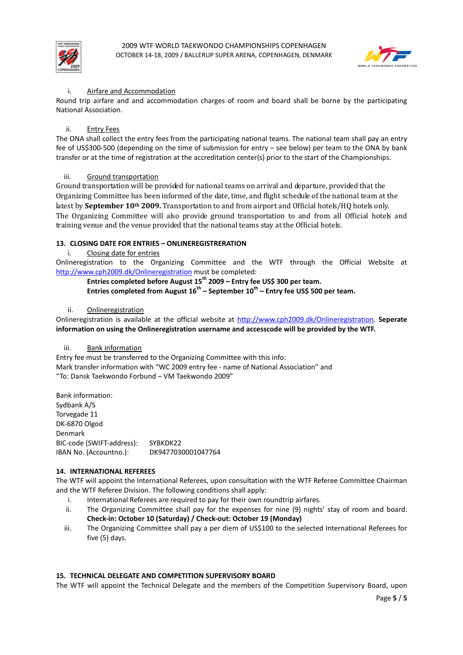



## Airfare and Accommodation

Round trip airfare and and accommodation charges of room and board shall be borne by the participating National Association.

# ii. Entry Fees

The ONA shall collect the entry fees from the participating national teams. The national team shall pay an entry fee of US\$300-500 (depending on the time of submission for entry – see below) per team to the ONA by bank transfer or at the time of registration at the accreditation center(s) prior to the start of the Championships.

## iii. Ground transportation

Ground transportation will be provided for national teams on arrival and departure, provided that the Organizing Committee has been informed of the date, time, and flight schedule of the national team at the latest by **September 10th 2009.** Transportation to and from airport and Official hotels/HQ hotels only. The Organizing Committee will also provide ground transportation to and from all Official hotels and training venue and the venue provided that the national teams stay at the Official hotels.

## **13. CLOSING DATE FOR ENTRIES – ONLINEREGISTRERATION**

## i. Closing date for entries

Onlineregistration to the Organizing Committee and the WTF through the Official Website at http://www.cph2009.dk/Onlineregistration must be completed:

**Entries completed before August 15th 2009 – Entry fee US\$ 300 per team. Entries completed from August 16th – September 10th – Entry fee US\$ 500 per team.** 

### ii. Onlineregistration

Onlineregistration is available at the official website at http://www.cph2009.dk/Onlineregistration. **Seperate information on using the Onlineregistration username and accesscode will be provided by the WTF.**

### iii. Bank information

Entry fee must be transferred to the Organizing Committee with this info: Mark transfer information with "WC 2009 entry fee - name of National Association" and "To: Dansk Taekwondo Forbund – VM Taekwondo 2009"

Bank information: Sydbank A/S Torvegade 11 DK-6870 Olgod Denmark BIC-code (SWIFT-address): SYBKDK22 IBAN No. (Accountno.): DK9477030001047764

# **14. INTERNATIONAL REFEREES**

The WTF will appoint the International Referees, upon consultation with the WTF Referee Committee Chairman and the WTF Referee Division. The following conditions shall apply:

- i. International Referees are required to pay for their own roundtrip airfares.
- ii. The Organizing Committee shall pay for the expenses for nine (9) nights' stay of room and board. **Check-in: October 10 (Saturday) / Check-out: October 19 (Monday)**
- iii. The Organizing Committee shall pay a per diem of US\$100 to the selected International Referees for five (5) days.

### **15. TECHNICAL DELEGATE AND COMPETITION SUPERVISORY BOARD**

The WTF will appoint the Technical Delegate and the members of the Competition Supervisory Board, upon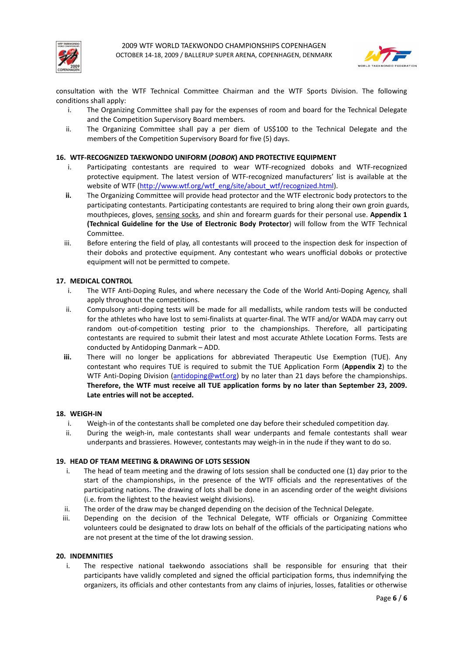



consultation with the WTF Technical Committee Chairman and the WTF Sports Division. The following conditions shall apply:

- i. The Organizing Committee shall pay for the expenses of room and board for the Technical Delegate and the Competition Supervisory Board members.
- ii. The Organizing Committee shall pay a per diem of US\$100 to the Technical Delegate and the members of the Competition Supervisory Board for five (5) days.

### **16. WTF-RECOGNIZED TAEKWONDO UNIFORM (***DOBOK***) AND PROTECTIVE EQUIPMENT**

- i. Participating contestants are required to wear WTF-recognized doboks and WTF-recognized protective equipment. The latest version of WTF-recognized manufacturers' list is available at the website of WTF (http://www.wtf.org/wtf\_eng/site/about\_wtf/recognized.html).
- **ii.** The Organizing Committee will provide head protector and the WTF electronic body protectors to the participating contestants. Participating contestants are required to bring along their own groin guards, mouthpieces, gloves, sensing socks, and shin and forearm guards for their personal use. **Appendix 1 (Technical Guideline for the Use of Electronic Body Protector**) will follow from the WTF Technical Committee.
- iii. Before entering the field of play, all contestants will proceed to the inspection desk for inspection of their doboks and protective equipment. Any contestant who wears unofficial doboks or protective equipment will not be permitted to compete.

## **17. MEDICAL CONTROL**

- i. The WTF Anti-Doping Rules, and where necessary the Code of the World Anti-Doping Agency, shall apply throughout the competitions.
- ii. Compulsory anti-doping tests will be made for all medallists, while random tests will be conducted for the athletes who have lost to semi-finalists at quarter-final. The WTF and/or WADA may carry out random out-of-competition testing prior to the championships. Therefore, all participating contestants are required to submit their latest and most accurate Athlete Location Forms. Tests are conducted by Antidoping Danmark – ADD.
- **iii.** There will no longer be applications for abbreviated Therapeutic Use Exemption (TUE). Any contestant who requires TUE is required to submit the TUE Application Form (**Appendix 2**) to the WTF Anti-Doping Division (antidoping@wtf.org) by no later than 21 days before the championships. **Therefore, the WTF must receive all TUE application forms by no later than September 23, 2009. Late entries will not be accepted.**

### **18. WEIGH-IN**

- i. Weigh-in of the contestants shall be completed one day before their scheduled competition day.
- ii. During the weigh-in, male contestants shall wear underpants and female contestants shall wear underpants and brassieres. However, contestants may weigh-in in the nude if they want to do so.

### **19. HEAD OF TEAM MEETING & DRAWING OF LOTS SESSION**

- i. The head of team meeting and the drawing of lots session shall be conducted one (1) day prior to the start of the championships, in the presence of the WTF officials and the representatives of the participating nations. The drawing of lots shall be done in an ascending order of the weight divisions (i.e. from the lightest to the heaviest weight divisions).
- ii. The order of the draw may be changed depending on the decision of the Technical Delegate.
- iii. Depending on the decision of the Technical Delegate, WTF officials or Organizing Committee volunteers could be designated to draw lots on behalf of the officials of the participating nations who are not present at the time of the lot drawing session.

### **20. INDEMNITIES**

i. The respective national taekwondo associations shall be responsible for ensuring that their participants have validly completed and signed the official participation forms, thus indemnifying the organizers, its officials and other contestants from any claims of injuries, losses, fatalities or otherwise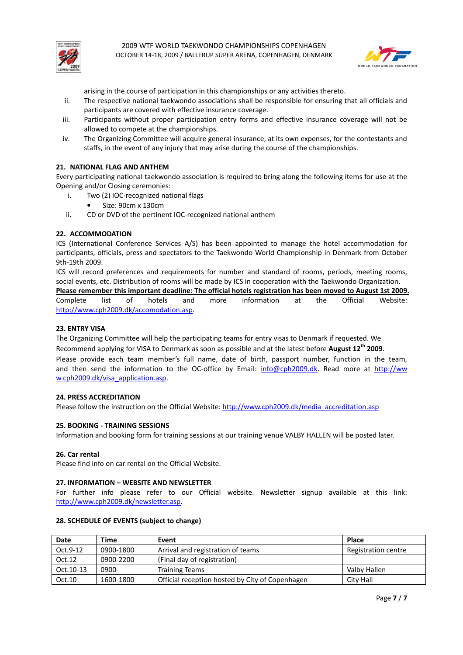



arising in the course of participation in this championships or any activities thereto.

- ii. The respective national taekwondo associations shall be responsible for ensuring that all officials and participants are covered with effective insurance coverage.
- iii. Participants without proper participation entry forms and effective insurance coverage will not be allowed to compete at the championships.
- iv. The Organizing Committee will acquire general insurance, at its own expenses, for the contestants and staffs, in the event of any injury that may arise during the course of the championships.

### **21. NATIONAL FLAG AND ANTHEM**

Every participating national taekwondo association is required to bring along the following items for use at the Opening and/or Closing ceremonies:

- i. Two (2) IOC-recognized national flags
	- Size: 90cm x 130cm
- ii. CD or DVD of the pertinent IOC-recognized national anthem

### **22. ACCOMMODATION**

ICS (International Conference Services A/S) has been appointed to manage the hotel accommodation for participants, officials, press and spectators to the Taekwondo World Championship in Denmark from October 9th-19th 2009.

ICS will record preferences and requirements for number and standard of rooms, periods, meeting rooms, social events, etc. Distribution of rooms will be made by ICS in cooperation with the Taekwondo Organization. **Please remember this important deadline: The official hotels registration has been moved to August 1st 2009.**

Complete list of hotels and more information at the Official Website: http://www.cph2009.dk/accomodation.asp.

#### **23. ENTRY VISA**

The Organizing Committee will help the participating teams for entry visas to Denmark if requested. We Recommend applying for VISA to Denmark as soon as possible and at the latest before **August 12th 2009**. Please provide each team member's full name, date of birth, passport number, function in the team, and then send the information to the OC-office by Email: info@cph2009.dk. Read more at http://ww w.cph2009.dk/visa\_application.asp.

#### **24. PRESS ACCREDITATION**

Please follow the instruction on the Official Website: http://www.cph2009.dk/media\_accreditation.asp

#### **25. BOOKING - TRAINING SESSIONS**

Information and booking form for training sessions at our training venue VALBY HALLEN will be posted later.

#### **26. Car rental**

Please find info on car rental on the Official Website.

#### **27. INFORMATION – WEBSITE AND NEWSLETTER**

For further info please refer to our Official website. Newsletter signup available at this link: http://www.cph2009.dk/newsletter.asp.

#### **28. SCHEDULE OF EVENTS (subject to change)**

| Date      | Time      | Event                                           | <b>Place</b>        |
|-----------|-----------|-------------------------------------------------|---------------------|
| Oct.9-12  | 0900-1800 | Arrival and registration of teams               | Registration centre |
| Oct.12    | 0900-2200 | (Final day of registration)                     |                     |
| Oct.10-13 | 0900-     | <b>Training Teams</b>                           | Valby Hallen        |
| Oct.10    | 1600-1800 | Official reception hosted by City of Copenhagen | City Hall           |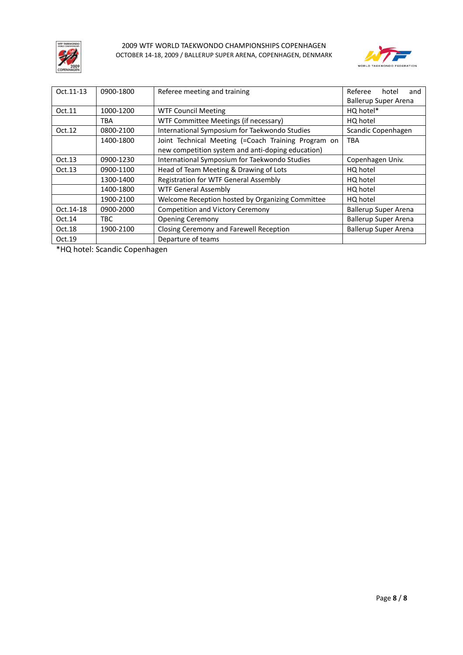



| Oct. 11-13 | 0900-1800  | Referee meeting and training                                           | Referee<br>hotel<br>and     |  |  |
|------------|------------|------------------------------------------------------------------------|-----------------------------|--|--|
|            |            | <b>Ballerup Super Arena</b>                                            |                             |  |  |
| Oct.11     | 1000-1200  | HQ hotel*<br><b>WTF Council Meeting</b>                                |                             |  |  |
|            | <b>TBA</b> | WTF Committee Meetings (if necessary)                                  | HQ hotel                    |  |  |
| Oct.12     | 0800-2100  | International Symposium for Taekwondo Studies                          | Scandic Copenhagen          |  |  |
|            | 1400-1800  | Joint Technical Meeting (=Coach Training Program on                    | <b>TBA</b>                  |  |  |
|            |            | new competition system and anti-doping education)                      |                             |  |  |
| Oct.13     | 0900-1230  | International Symposium for Taekwondo Studies                          | Copenhagen Univ.            |  |  |
| Oct.13     | 0900-1100  | Head of Team Meeting & Drawing of Lots                                 | HQ hotel                    |  |  |
|            | 1300-1400  | Registration for WTF General Assembly                                  | HQ hotel                    |  |  |
|            | 1400-1800  | <b>WTF General Assembly</b>                                            | HQ hotel                    |  |  |
|            | 1900-2100  | Welcome Reception hosted by Organizing Committee                       | HQ hotel                    |  |  |
| Oct.14-18  | 0900-2000  | <b>Competition and Victory Ceremony</b>                                | <b>Ballerup Super Arena</b> |  |  |
| Oct.14     | TBC        | <b>Opening Ceremony</b>                                                | <b>Ballerup Super Arena</b> |  |  |
| Oct.18     | 1900-2100  | Closing Ceremony and Farewell Reception<br><b>Ballerup Super Arena</b> |                             |  |  |
| Oct.19     |            | Departure of teams                                                     |                             |  |  |

\*HQ hotel: Scandic Copenhagen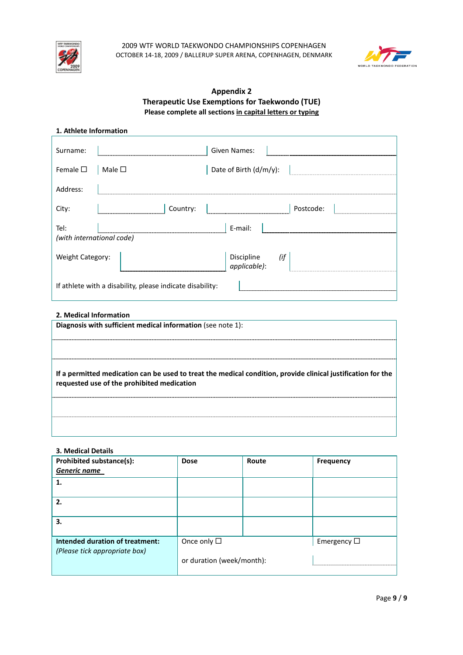



# **Appendix 2 Therapeutic Use Exemptions for Taekwondo (TUE) Please complete all sections in capital letters or typing**

| 1. Athlete Information            |  |                        |  |  |  |
|-----------------------------------|--|------------------------|--|--|--|
| Surname:                          |  | Given Names:           |  |  |  |
| Female $\square$   Male $\square$ |  | Date of Birth (d/m/y): |  |  |  |
| Address:                          |  |                        |  |  |  |

| Address:                                                  |  |          |                                |           |  |
|-----------------------------------------------------------|--|----------|--------------------------------|-----------|--|
| City:                                                     |  | Country: |                                | Postcode: |  |
| Tel:<br>(with international code)                         |  |          | E-mail:                        |           |  |
| Weight Category:                                          |  |          | Discipline (if<br>applicable): |           |  |
| If athlete with a disability, please indicate disability: |  |          |                                |           |  |

# **2. Medical Information**

| Diagnosis with sufficient medical information (see note 1):                                                                                                |
|------------------------------------------------------------------------------------------------------------------------------------------------------------|
|                                                                                                                                                            |
|                                                                                                                                                            |
| If a permitted medication can be used to treat the medical condition, provide clinical justification for the<br>requested use of the prohibited medication |
|                                                                                                                                                            |
|                                                                                                                                                            |

# **3. Medical Details**

| <b>Prohibited substance(s):</b>                                  | <b>Dose</b>               | Route | <b>Frequency</b>    |
|------------------------------------------------------------------|---------------------------|-------|---------------------|
| Generic name                                                     |                           |       |                     |
| 1.                                                               |                           |       |                     |
| 2.                                                               |                           |       |                     |
| 3.                                                               |                           |       |                     |
| Intended duration of treatment:<br>(Please tick appropriate box) | Once only $\square$       |       | Emergency $\square$ |
|                                                                  | or duration (week/month): |       |                     |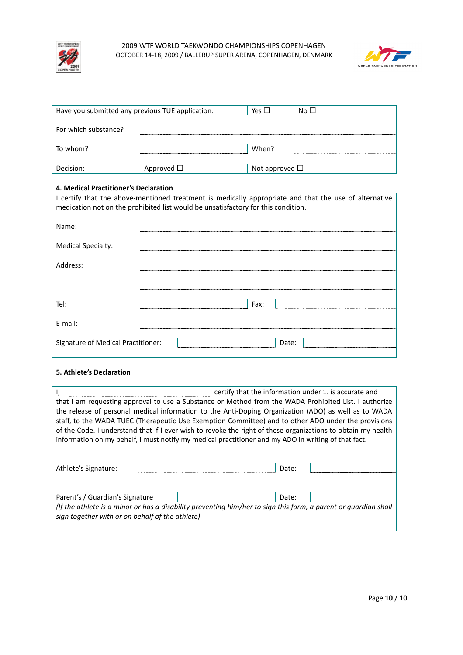



| Have you submitted any previous TUE application: |                 | Yes $\Box$             | No $\square$ |
|--------------------------------------------------|-----------------|------------------------|--------------|
| For which substance?                             |                 |                        |              |
| To whom?                                         |                 | When?                  |              |
| Decision:                                        | Approved $\Box$ | Not approved $\square$ |              |

### **4. Medical Practitioner's Declaration**

I certify that the above-mentioned treatment is medically appropriate and that the use of alternative medication not on the prohibited list would be unsatisfactory for this condition.

| Name:                              |       |
|------------------------------------|-------|
| <b>Medical Specialty:</b>          |       |
| Address:                           | .     |
|                                    |       |
| Tel:                               | Fax:  |
| E-mail:                            |       |
| Signature of Medical Practitioner: | Date: |

## **5. Athlete's Declaration**

|                                                                                                       |                                                                                                                 | certify that the information under 1. is accurate and |  |  |
|-------------------------------------------------------------------------------------------------------|-----------------------------------------------------------------------------------------------------------------|-------------------------------------------------------|--|--|
| that I am requesting approval to use a Substance or Method from the WADA Prohibited List. I authorize |                                                                                                                 |                                                       |  |  |
|                                                                                                       | the release of personal medical information to the Anti-Doping Organization (ADO) as well as to WADA            |                                                       |  |  |
|                                                                                                       | staff, to the WADA TUEC (Therapeutic Use Exemption Committee) and to other ADO under the provisions             |                                                       |  |  |
|                                                                                                       | of the Code. I understand that if I ever wish to revoke the right of these organizations to obtain my health    |                                                       |  |  |
|                                                                                                       | information on my behalf, I must notify my medical practitioner and my ADO in writing of that fact.             |                                                       |  |  |
|                                                                                                       |                                                                                                                 |                                                       |  |  |
|                                                                                                       |                                                                                                                 |                                                       |  |  |
| Athlete's Signature:                                                                                  |                                                                                                                 | Date:                                                 |  |  |
|                                                                                                       |                                                                                                                 |                                                       |  |  |
| Parent's / Guardian's Signature                                                                       |                                                                                                                 | Date:                                                 |  |  |
|                                                                                                       | (If the athlete is a minor or has a disability preventing him/her to sign this form, a parent or quardian shall |                                                       |  |  |
| sign together with or on behalf of the athlete)                                                       |                                                                                                                 |                                                       |  |  |
|                                                                                                       |                                                                                                                 |                                                       |  |  |

٦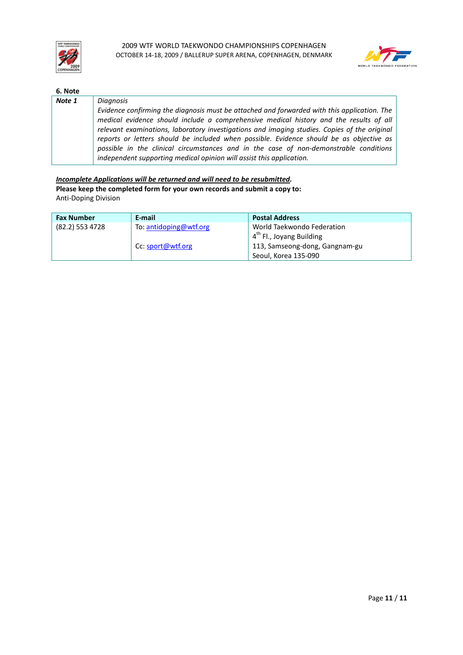



| 6. Note |                                                                                                                                                                                                                                                                                                                                                                                                                                                    |
|---------|----------------------------------------------------------------------------------------------------------------------------------------------------------------------------------------------------------------------------------------------------------------------------------------------------------------------------------------------------------------------------------------------------------------------------------------------------|
| Note 1  | Diagnosis                                                                                                                                                                                                                                                                                                                                                                                                                                          |
|         | Evidence confirming the diagnosis must be attached and forwarded with this application. The                                                                                                                                                                                                                                                                                                                                                        |
|         | medical evidence should include a comprehensive medical history and the results of all<br>relevant examinations, laboratory investigations and imaging studies. Copies of the original<br>reports or letters should be included when possible. Evidence should be as objective as<br>possible in the clinical circumstances and in the case of non-demonstrable conditions<br>independent supporting medical opinion will assist this application. |

*Incomplete Applications will be returned and will need to be resubmitted.*  **Please keep the completed form for your own records and submit a copy to:**  Anti-Doping Division

| <b>Fax Number</b> | E-mail                 | <b>Postal Address</b>                |
|-------------------|------------------------|--------------------------------------|
| (82.2) 553 4728   | To: antidoping@wtf.org | World Taekwondo Federation           |
|                   |                        | 4 <sup>th</sup> Fl., Joyang Building |
|                   | Cc: sport@wtf.org      | 113, Samseong-dong, Gangnam-gu       |
|                   |                        | Seoul, Korea 135-090                 |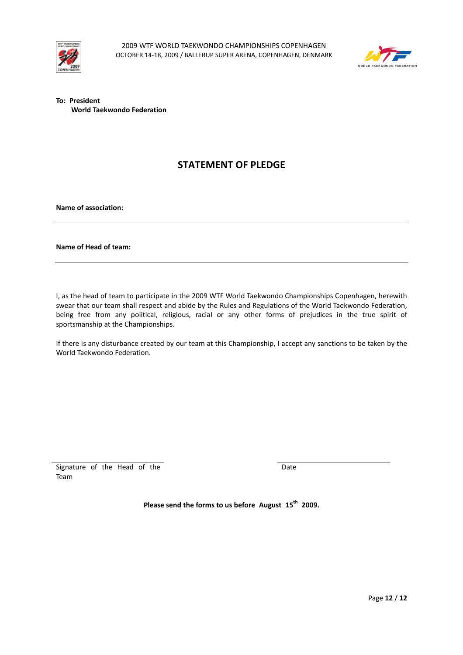



**To: President World Taekwondo Federation**

# **STATEMENT OF PLEDGE**

**Name of association:** 

### **Name of Head of team:**

I, as the head of team to participate in the 2009 WTF World Taekwondo Championships Copenhagen, herewith swear that our team shall respect and abide by the Rules and Regulations of the World Taekwondo Federation, being free from any political, religious, racial or any other forms of prejudices in the true spirit of sportsmanship at the Championships.

If there is any disturbance created by our team at this Championship, I accept any sanctions to be taken by the World Taekwondo Federation.

Signature of the Head of the Team

Date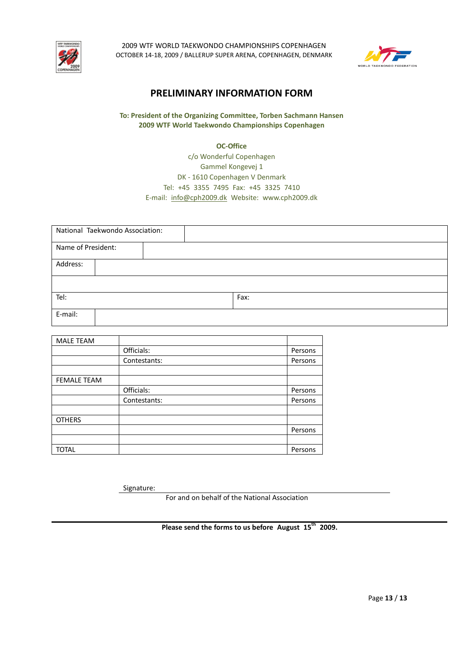



# **PRELIMINARY INFORMATION FORM**

# **To: President of the Organizing Committee, Torben Sachmann Hansen 2009 WTF World Taekwondo Championships Copenhagen**

## **OC-Office**

# c/o Wonderful Copenhagen Gammel Kongevej 1 DK - 1610 Copenhagen V Denmark Tel: +45 3355 7495 Fax: +45 3325 7410 E-mail: info@cph2009.dk Website: www.cph2009.dk

|                    | National Taekwondo Association: |  |      |  |  |
|--------------------|---------------------------------|--|------|--|--|
| Name of President: |                                 |  |      |  |  |
| Address:           |                                 |  |      |  |  |
|                    |                                 |  |      |  |  |
| Tel:               |                                 |  | Fax: |  |  |
| E-mail:            |                                 |  |      |  |  |

| <b>MALE TEAM</b>   |              |         |
|--------------------|--------------|---------|
|                    | Officials:   | Persons |
|                    | Contestants: | Persons |
|                    |              |         |
| <b>FEMALE TEAM</b> |              |         |
|                    | Officials:   | Persons |
|                    | Contestants: | Persons |
|                    |              |         |
| <b>OTHERS</b>      |              |         |
|                    |              | Persons |
|                    |              |         |
| <b>TOTAL</b>       |              | Persons |

Signature:

For and on behalf of the National Association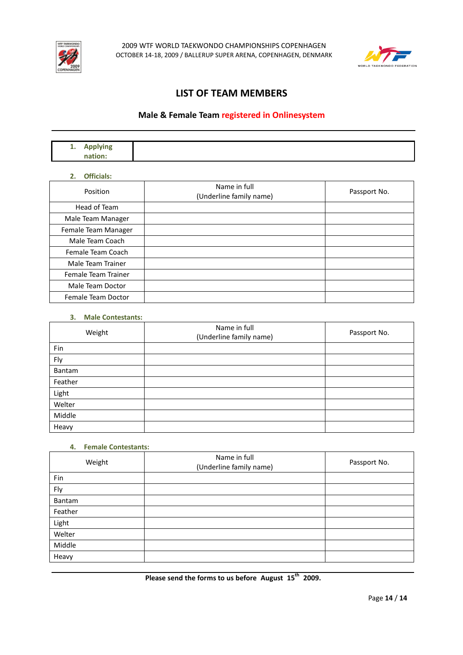



# **LIST OF TEAM MEMBERS**

# **Male & Female Team registered in Onlinesystem**

| . . <del>.</del> .<br>.<br>. .<br>. |  |
|-------------------------------------|--|
| ____                                |  |

## **2. Officials:**

| Position            | Name in full<br>(Underline family name) | Passport No. |
|---------------------|-----------------------------------------|--------------|
| Head of Team        |                                         |              |
| Male Team Manager   |                                         |              |
| Female Team Manager |                                         |              |
| Male Team Coach     |                                         |              |
| Female Team Coach   |                                         |              |
| Male Team Trainer   |                                         |              |
| Female Team Trainer |                                         |              |
| Male Team Doctor    |                                         |              |
| Female Team Doctor  |                                         |              |

## **3. Male Contestants:**

| Weight  | Name in full<br>(Underline family name) | Passport No. |
|---------|-----------------------------------------|--------------|
| Fin     |                                         |              |
| Fly     |                                         |              |
| Bantam  |                                         |              |
| Feather |                                         |              |
| Light   |                                         |              |
| Welter  |                                         |              |
| Middle  |                                         |              |
| Heavy   |                                         |              |

### **4. Female Contestants:**

| Weight  | Name in full<br>(Underline family name) | Passport No. |
|---------|-----------------------------------------|--------------|
| Fin     |                                         |              |
| Fly     |                                         |              |
| Bantam  |                                         |              |
| Feather |                                         |              |
| Light   |                                         |              |
| Welter  |                                         |              |
| Middle  |                                         |              |
| Heavy   |                                         |              |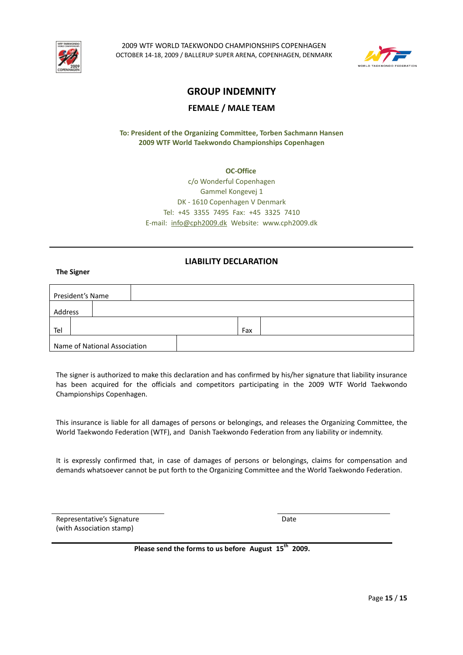



# **GROUP INDEMNITY**

# **FEMALE / MALE TEAM**

**To: President of the Organizing Committee, Torben Sachmann Hansen 2009 WTF World Taekwondo Championships Copenhagen** 

> **OC-Office**  c/o Wonderful Copenhagen Gammel Kongevej 1 DK - 1610 Copenhagen V Denmark Tel: +45 3355 7495 Fax: +45 3325 7410 E-mail: info@cph2009.dk Website: www.cph2009.dk

# **LIABILITY DECLARATION**

**The Signer** 

| President's Name |                              |     |  |
|------------------|------------------------------|-----|--|
| Address          |                              |     |  |
| Tel              |                              | Fax |  |
|                  | Name of National Association |     |  |

The signer is authorized to make this declaration and has confirmed by his/her signature that liability insurance has been acquired for the officials and competitors participating in the 2009 WTF World Taekwondo Championships Copenhagen.

This insurance is liable for all damages of persons or belongings, and releases the Organizing Committee, the World Taekwondo Federation (WTF), and Danish Taekwondo Federation from any liability or indemnity.

It is expressly confirmed that, in case of damages of persons or belongings, claims for compensation and demands whatsoever cannot be put forth to the Organizing Committee and the World Taekwondo Federation.

Representative's Signature (with Association stamp)

Date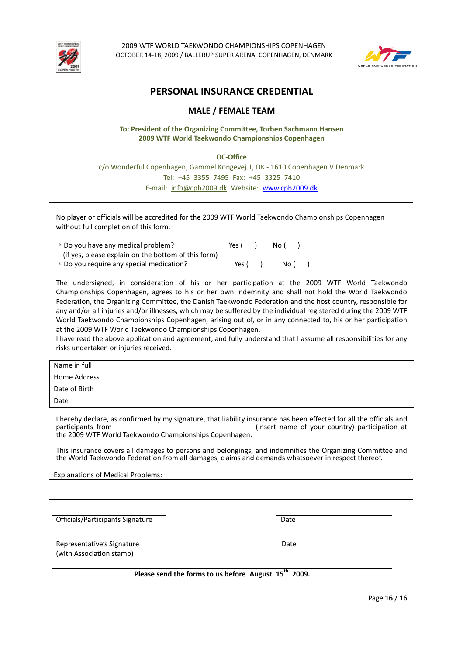



# **PERSONAL INSURANCE CREDENTIAL**

# **MALE / FEMALE TEAM**

## **To: President of the Organizing Committee, Torben Sachmann Hansen 2009 WTF World Taekwondo Championships Copenhagen**

## **OC-Office**

c/o Wonderful Copenhagen, Gammel Kongevej 1, DK - 1610 Copenhagen V Denmark Tel: +45 3355 7495 Fax: +45 3325 7410 E-mail: info@cph2009.dk Website: www.cph2009.dk

No player or officials will be accredited for the 2009 WTF World Taekwondo Championships Copenhagen without full completion of this form.

| * Do you have any medical problem?                  | Yes ( | No ( |  |
|-----------------------------------------------------|-------|------|--|
| (if yes, please explain on the bottom of this form) |       |      |  |
| * Do you require any special medication?            | Yes ( | No ( |  |

The undersigned, in consideration of his or her participation at the 2009 WTF World Taekwondo Championships Copenhagen, agrees to his or her own indemnity and shall not hold the World Taekwondo Federation, the Organizing Committee, the Danish Taekwondo Federation and the host country, responsible for any and/or all injuries and/or illnesses, which may be suffered by the individual registered during the 2009 WTF World Taekwondo Championships Copenhagen, arising out of, or in any connected to, his or her participation at the 2009 WTF World Taekwondo Championships Copenhagen.

I have read the above application and agreement, and fully understand that I assume all responsibilities for any risks undertaken or injuries received.

| Name in full  |  |
|---------------|--|
| Home Address  |  |
| Date of Birth |  |
| Date          |  |

I hereby declare, as confirmed by my signature, that liability insurance has been effected for all the officials and participants from example and the control of the country of your country) participation at the 2009 WTF World Taekwondo Championships Copenhagen.

This insurance covers all damages to persons and belongings, and indemnifies the Organizing Committee and the World Taekwondo Federation from all damages, claims and demands whatsoever in respect thereof.

Explanations of Medical Problems:

Officials/Participants Signature Date Date Date

Representative's Signature (with Association stamp)

**Please send the forms to us before August 15th 2009.** 

**Date Date Date**